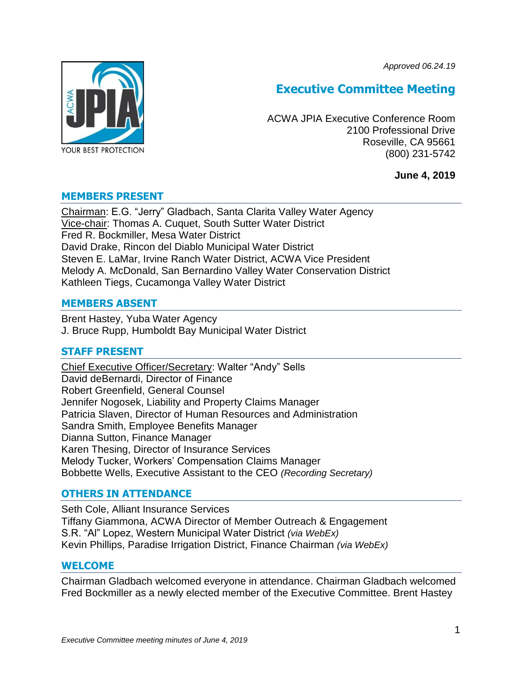*Approved 06.24.19*



# **Executive Committee Meeting**

ACWA JPIA Executive Conference Room 2100 Professional Drive Roseville, CA 95661 (800) 231-5742

**June 4, 2019**

## **MEMBERS PRESENT**

Chairman: E.G. "Jerry" Gladbach, Santa Clarita Valley Water Agency Vice-chair: Thomas A. Cuquet, South Sutter Water District Fred R. Bockmiller, Mesa Water District David Drake, Rincon del Diablo Municipal Water District Steven E. LaMar, Irvine Ranch Water District, ACWA Vice President Melody A. McDonald, San Bernardino Valley Water Conservation District Kathleen Tiegs, Cucamonga Valley Water District

## **MEMBERS ABSENT**

Brent Hastey, Yuba Water Agency J. Bruce Rupp, Humboldt Bay Municipal Water District

## **STAFF PRESENT**

Chief Executive Officer/Secretary: Walter "Andy" Sells David deBernardi, Director of Finance Robert Greenfield, General Counsel Jennifer Nogosek, Liability and Property Claims Manager Patricia Slaven, Director of Human Resources and Administration Sandra Smith, Employee Benefits Manager Dianna Sutton, Finance Manager Karen Thesing, Director of Insurance Services Melody Tucker, Workers' Compensation Claims Manager Bobbette Wells, Executive Assistant to the CEO *(Recording Secretary)*

## **OTHERS IN ATTENDANCE**

Seth Cole, Alliant Insurance Services Tiffany Giammona, ACWA Director of Member Outreach & Engagement S.R. "Al" Lopez, Western Municipal Water District *(via WebEx)* Kevin Phillips, Paradise Irrigation District, Finance Chairman *(via WebEx)*

#### **WELCOME**

Chairman Gladbach welcomed everyone in attendance. Chairman Gladbach welcomed Fred Bockmiller as a newly elected member of the Executive Committee. Brent Hastey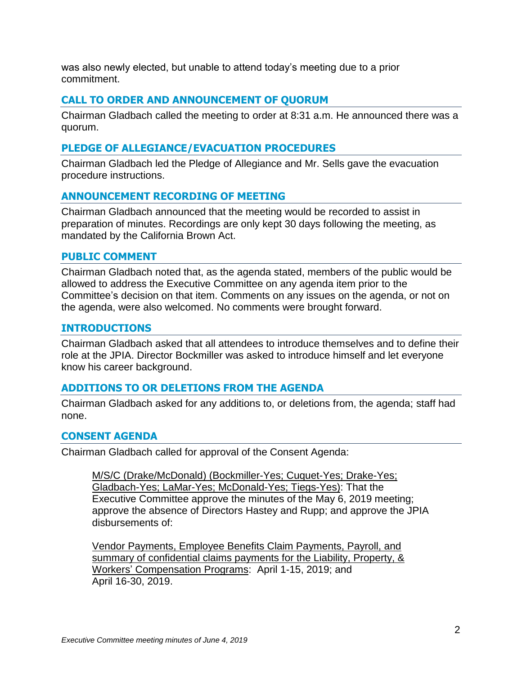was also newly elected, but unable to attend today's meeting due to a prior commitment.

# **CALL TO ORDER AND ANNOUNCEMENT OF QUORUM**

Chairman Gladbach called the meeting to order at 8:31 a.m. He announced there was a quorum.

## **PLEDGE OF ALLEGIANCE/EVACUATION PROCEDURES**

Chairman Gladbach led the Pledge of Allegiance and Mr. Sells gave the evacuation procedure instructions.

## **ANNOUNCEMENT RECORDING OF MEETING**

Chairman Gladbach announced that the meeting would be recorded to assist in preparation of minutes. Recordings are only kept 30 days following the meeting, as mandated by the California Brown Act.

#### **PUBLIC COMMENT**

Chairman Gladbach noted that, as the agenda stated, members of the public would be allowed to address the Executive Committee on any agenda item prior to the Committee's decision on that item. Comments on any issues on the agenda, or not on the agenda, were also welcomed. No comments were brought forward.

## **INTRODUCTIONS**

Chairman Gladbach asked that all attendees to introduce themselves and to define their role at the JPIA. Director Bockmiller was asked to introduce himself and let everyone know his career background.

## **ADDITIONS TO OR DELETIONS FROM THE AGENDA**

Chairman Gladbach asked for any additions to, or deletions from, the agenda; staff had none.

## **CONSENT AGENDA**

Chairman Gladbach called for approval of the Consent Agenda:

M/S/C (Drake/McDonald) (Bockmiller-Yes; Cuquet-Yes; Drake-Yes; Gladbach-Yes; LaMar-Yes; McDonald-Yes; Tiegs-Yes): That the Executive Committee approve the minutes of the May 6, 2019 meeting; approve the absence of Directors Hastey and Rupp; and approve the JPIA disbursements of:

Vendor Payments, Employee Benefits Claim Payments, Payroll, and summary of confidential claims payments for the Liability, Property, & Workers' Compensation Programs: April 1-15, 2019; and April 16-30, 2019.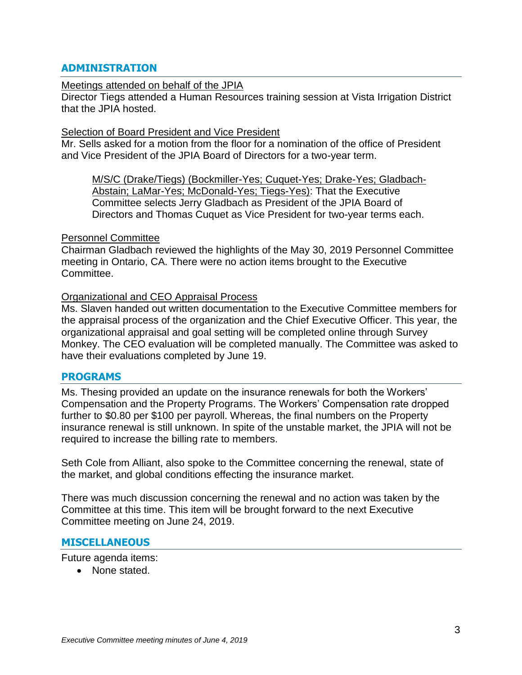# **ADMINISTRATION**

#### Meetings attended on behalf of the JPIA

Director Tiegs attended a Human Resources training session at Vista Irrigation District that the JPIA hosted.

#### Selection of Board President and Vice President

Mr. Sells asked for a motion from the floor for a nomination of the office of President and Vice President of the JPIA Board of Directors for a two-year term.

M/S/C (Drake/Tiegs) (Bockmiller-Yes; Cuquet-Yes; Drake-Yes; Gladbach-Abstain; LaMar-Yes; McDonald-Yes; Tiegs-Yes): That the Executive Committee selects Jerry Gladbach as President of the JPIA Board of Directors and Thomas Cuquet as Vice President for two-year terms each.

## Personnel Committee

Chairman Gladbach reviewed the highlights of the May 30, 2019 Personnel Committee meeting in Ontario, CA. There were no action items brought to the Executive Committee.

## Organizational and CEO Appraisal Process

Ms. Slaven handed out written documentation to the Executive Committee members for the appraisal process of the organization and the Chief Executive Officer. This year, the organizational appraisal and goal setting will be completed online through Survey Monkey. The CEO evaluation will be completed manually. The Committee was asked to have their evaluations completed by June 19.

#### **PROGRAMS**

Ms. Thesing provided an update on the insurance renewals for both the Workers' Compensation and the Property Programs. The Workers' Compensation rate dropped further to \$0.80 per \$100 per payroll. Whereas, the final numbers on the Property insurance renewal is still unknown. In spite of the unstable market, the JPIA will not be required to increase the billing rate to members.

Seth Cole from Alliant, also spoke to the Committee concerning the renewal, state of the market, and global conditions effecting the insurance market.

There was much discussion concerning the renewal and no action was taken by the Committee at this time. This item will be brought forward to the next Executive Committee meeting on June 24, 2019.

## **MISCELLANEOUS**

Future agenda items:

• None stated.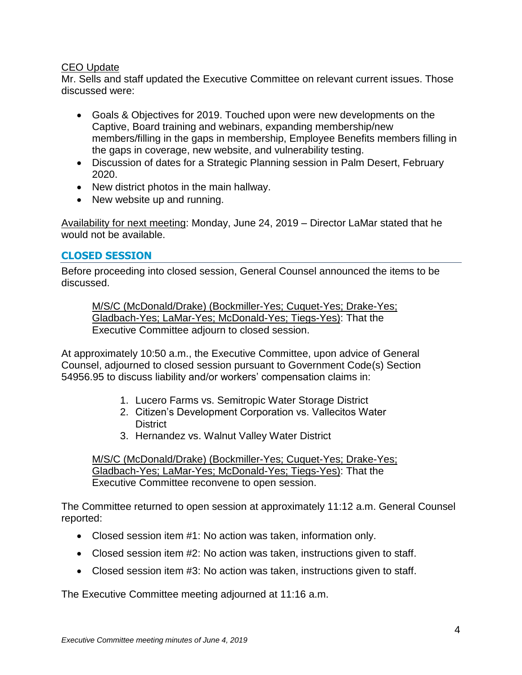# CEO Update

Mr. Sells and staff updated the Executive Committee on relevant current issues. Those discussed were:

- Goals & Objectives for 2019. Touched upon were new developments on the Captive, Board training and webinars, expanding membership/new members/filling in the gaps in membership, Employee Benefits members filling in the gaps in coverage, new website, and vulnerability testing.
- Discussion of dates for a Strategic Planning session in Palm Desert, February 2020.
- New district photos in the main hallway.
- New website up and running.

Availability for next meeting: Monday, June 24, 2019 – Director LaMar stated that he would not be available.

# **CLOSED SESSION**

Before proceeding into closed session, General Counsel announced the items to be discussed.

M/S/C (McDonald/Drake) (Bockmiller-Yes; Cuquet-Yes; Drake-Yes; Gladbach-Yes; LaMar-Yes; McDonald-Yes; Tiegs-Yes): That the Executive Committee adjourn to closed session.

At approximately 10:50 a.m., the Executive Committee, upon advice of General Counsel, adjourned to closed session pursuant to Government Code(s) Section 54956.95 to discuss liability and/or workers' compensation claims in:

- 1. Lucero Farms vs. Semitropic Water Storage District
- 2. Citizen's Development Corporation vs. Vallecitos Water **District**
- 3. Hernandez vs. Walnut Valley Water District

M/S/C (McDonald/Drake) (Bockmiller-Yes; Cuquet-Yes; Drake-Yes; Gladbach-Yes; LaMar-Yes; McDonald-Yes; Tiegs-Yes): That the Executive Committee reconvene to open session.

The Committee returned to open session at approximately 11:12 a.m. General Counsel reported:

- Closed session item #1: No action was taken, information only.
- Closed session item #2: No action was taken, instructions given to staff.
- Closed session item #3: No action was taken, instructions given to staff.

The Executive Committee meeting adjourned at 11:16 a.m.